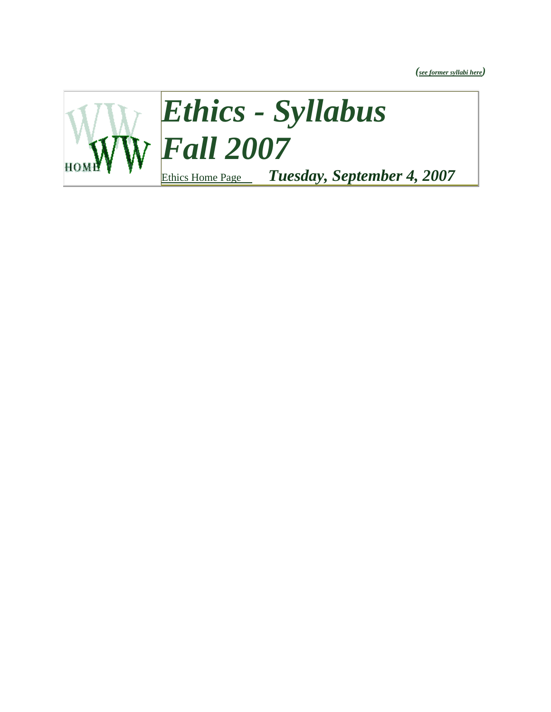*([see former syllabi here](http://www.walkupsway.com/ethics_old_syllabi.htm))*

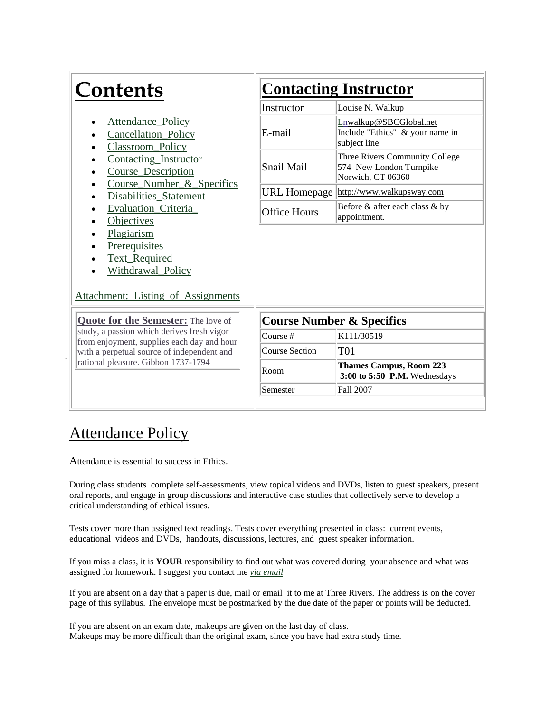| <b>Contents</b>                                                                                                             | <b>Contacting Instructor</b>         |                                                                                |
|-----------------------------------------------------------------------------------------------------------------------------|--------------------------------------|--------------------------------------------------------------------------------|
|                                                                                                                             | Instructor                           | Louise N. Walkup                                                               |
| <b>Attendance Policy</b><br>Cancellation_Policy<br>Classroom_Policy                                                         | E-mail                               | Lnwalkup@SBCGlobal.net<br>Include "Ethics" & your name in<br>subject line      |
| Contacting_Instructor<br>$\bullet$<br>Course_Description<br>Course Number & Specifics                                       | Snail Mail                           | Three Rivers Community College<br>574 New London Turnpike<br>Norwich, CT 06360 |
| Disabilities_Statement                                                                                                      |                                      | URL Homepage http://www.walkupsway.com                                         |
| Evaluation_Criteria<br>$\bullet$<br><b>Objectives</b><br>٠                                                                  | <b>Office Hours</b>                  | Before & after each class & by<br>appointment.                                 |
| Plagiarism<br><b>Prerequisites</b><br>Text_Required<br>$\bullet$<br>Withdrawal_Policy<br>Attachment: Listing of Assignments |                                      |                                                                                |
| <b>Quote for the Semester:</b> The love of                                                                                  | <b>Course Number &amp; Specifics</b> |                                                                                |
| study, a passion which derives fresh vigor<br>from enjoyment, supplies each day and hour                                    | Course #                             | K111/30519                                                                     |
| with a perpetual source of independent and                                                                                  | <b>Course Section</b>                | <b>T01</b>                                                                     |
| rational pleasure. Gibbon 1737-1794                                                                                         | Room                                 | <b>Thames Campus, Room 223</b><br>3:00 to 5:50 P.M. Wednesdays                 |
|                                                                                                                             | Semester                             | Fall 2007                                                                      |
|                                                                                                                             |                                      |                                                                                |

## **Attendance Policy**

.

Attendance is essential to success in Ethics.

During class students complete self-assessments, view topical videos and DVDs, listen to guest speakers, present oral reports, and engage in group discussions and interactive case studies that collectively serve to develop a critical understanding of ethical issues.

Tests cover more than assigned text readings. Tests cover everything presented in class: current events, educational videos and DVDs, handouts, discussions, lectures, and guest speaker information.

If you miss a class, it is **YOUR** responsibility to find out what was covered during your absence and what was assigned for homework. I suggest you contact me *[via email](mailto:Lnwalkup@sbcglobal.net)*

If you are absent on a day that a paper is due, mail or email it to me at Three Rivers. The address is on the cover page of this syllabus. The envelope must be postmarked by the due date of the paper or points will be deducted.

If you are absent on an exam date, makeups are given on the last day of class. Makeups may be more difficult than the original exam, since you have had extra study time.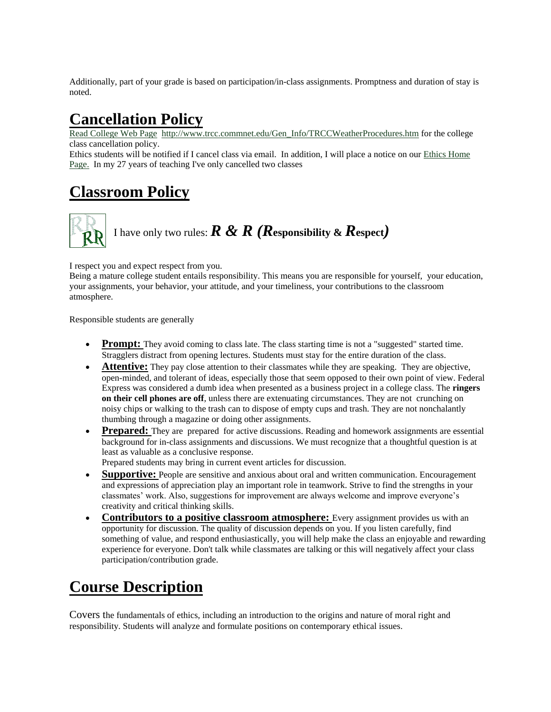Additionally, part of your grade is based on participation/in-class assignments. Promptness and duration of stay is noted.

## **Cancellation Policy**

[Read College Web Page](http://www.trcc.commnet.edu/Gen_Info/TRCCWeatherProcedures.htm) [http://www.trcc.commnet.edu/Gen\\_Info/TRCCWeatherProcedures.htm](http://www.trcc.commnet.edu/Gen_Info/TRCCWeatherProcedures.htm) for the college class cancellation policy.

Ethics students will be notified if I cancel class via email. In addition, I will place a notice on ou[r Ethics Home](http://www.walkupsway.com/ethicsclass.htm)  [Page.](http://www.walkupsway.com/ethicsclass.htm) In my 27 years of teaching I've only cancelled two classes

## **Classroom Policy**

## I have only two rules:*R & R (R***esponsibility &** *R***espect***)*

I respect you and expect respect from you.

Being a mature college student entails responsibility. This means you are responsible for yourself, your education, your assignments, your behavior, your attitude, and your timeliness, your contributions to the classroom atmosphere.

Responsible students are generally

- **Prompt:** They avoid coming to class late. The class starting time is not a "suggested" started time. Stragglers distract from opening lectures. Students must stay for the entire duration of the class.
- **Attentive:** They pay close attention to their classmates while they are speaking. They are objective, open-minded, and tolerant of ideas, especially those that seem opposed to their own point of view. Federal Express was considered a dumb idea when presented as a business project in a college class. The **ringers on their cell phones are off**, unless there are extenuating circumstances. They are not crunching on noisy chips or walking to the trash can to dispose of empty cups and trash. They are not nonchalantly thumbing through a magazine or doing other assignments.
- **Prepared:** They are prepared for active discussions. Reading and homework assignments are essential background for in-class assignments and discussions. We must recognize that a thoughtful question is at least as valuable as a conclusive response.

Prepared students may bring in current event articles for discussion.

- **Supportive:** People are sensitive and anxious about oral and written communication. Encouragement and expressions of appreciation play an important role in teamwork. Strive to find the strengths in your classmates' work. Also, suggestions for improvement are always welcome and improve everyone's creativity and critical thinking skills.
- **Contributors to a positive classroom atmosphere:** Every assignment provides us with an opportunity for discussion. The quality of discussion depends on you. If you listen carefully, find something of value, and respond enthusiastically, you will help make the class an enjoyable and rewarding experience for everyone. Don't talk while classmates are talking or this will negatively affect your class participation/contribution grade.

## **Course Description**

Covers the fundamentals of ethics, including an introduction to the origins and nature of moral right and responsibility. Students will analyze and formulate positions on contemporary ethical issues.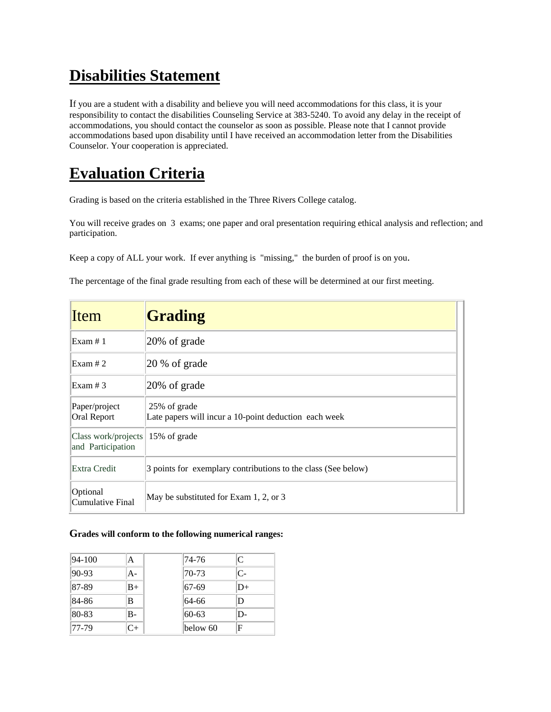## **Disabilities Statement**

If you are a student with a disability and believe you will need accommodations for this class, it is your responsibility to contact the disabilities Counseling Service at 383-5240. To avoid any delay in the receipt of accommodations, you should contact the counselor as soon as possible. Please note that I cannot provide accommodations based upon disability until I have received an accommodation letter from the Disabilities Counselor. Your cooperation is appreciated.

## **Evaluation Criteria**

Grading is based on the criteria established in the Three Rivers College catalog.

You will receive grades on 3 exams; one paper and oral presentation requiring ethical analysis and reflection; and participation.

Keep a copy of ALL your work. If ever anything is "missing," the burden of proof is on you.

The percentage of the final grade resulting from each of these will be determined at our first meeting.

| Item                                     | Grading                                                               |
|------------------------------------------|-----------------------------------------------------------------------|
| Exam # 1                                 | $ 20\% \text{ of grade} $                                             |
| Exam # 2                                 | $ 20 \%$ of grade                                                     |
| Exam # 3                                 | $ 20\% \text{ of grade} $                                             |
| Paper/project<br>Oral Report             | 25% of grade<br>Late papers will incur a 10-point deduction each week |
| Class work/projects<br>and Participation | 15% of grade                                                          |
| Extra Credit                             | 3 points for exemplary contributions to the class (See below)         |
| Optional<br>Cumulative Final             | May be substituted for Exam 1, 2, or 3                                |

#### **Grades will conform to the following numerical ranges:**

| $ 94 - 100$ | Α    |
|-------------|------|
| $ 90-93 $   | A-   |
| $ 87-89 $   | $B+$ |
| 84-86       | B    |
| 80-83       | $B-$ |
| $ 77-79$    | $C+$ |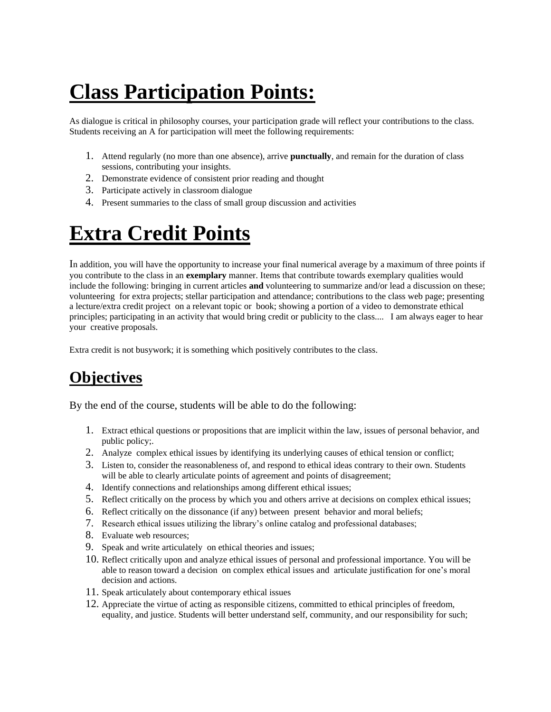# **Class Participation Points:**

As dialogue is critical in philosophy courses, your participation grade will reflect your contributions to the class. Students receiving an A for participation will meet the following requirements:

- 1. Attend regularly (no more than one absence), arrive **punctually**, and remain for the duration of class sessions, contributing your insights.
- 2. Demonstrate evidence of consistent prior reading and thought
- 3. Participate actively in classroom dialogue
- 4. Present summaries to the class of small group discussion and activities

## **Extra Credit Points**

In addition, you will have the opportunity to increase your final numerical average by a maximum of three points if you contribute to the class in an **exemplary** manner. Items that contribute towards exemplary qualities would include the following: bringing in current articles **and** volunteering to summarize and/or lead a discussion on these; volunteering for extra projects; stellar participation and attendance; contributions to the class web page; presenting a lecture/extra credit project on a relevant topic or book; showing a portion of a video to demonstrate ethical principles; participating in an activity that would bring credit or publicity to the class.... I am always eager to hear your creative proposals.

Extra credit is not busywork; it is something which positively contributes to the class.

## **Objectives**

By the end of the course, students will be able to do the following:

- 1. Extract ethical questions or propositions that are implicit within the law, issues of personal behavior, and public policy;.
- 2. Analyze complex ethical issues by identifying its underlying causes of ethical tension or conflict;
- 3. Listen to, consider the reasonableness of, and respond to ethical ideas contrary to their own. Students will be able to clearly articulate points of agreement and points of disagreement;
- 4. Identify connections and relationships among different ethical issues;
- 5. Reflect critically on the process by which you and others arrive at decisions on complex ethical issues;
- 6. Reflect critically on the dissonance (if any) between present behavior and moral beliefs;
- 7. Research ethical issues utilizing the library's online catalog and professional databases;
- 8. Evaluate web resources;
- 9. Speak and write articulately on ethical theories and issues;
- 10. Reflect critically upon and analyze ethical issues of personal and professional importance. You will be able to reason toward a decision on complex ethical issues and articulate justification for one's moral decision and actions.
- 11. Speak articulately about contemporary ethical issues
- 12. Appreciate the virtue of acting as responsible citizens, committed to ethical principles of freedom, equality, and justice. Students will better understand self, community, and our responsibility for such;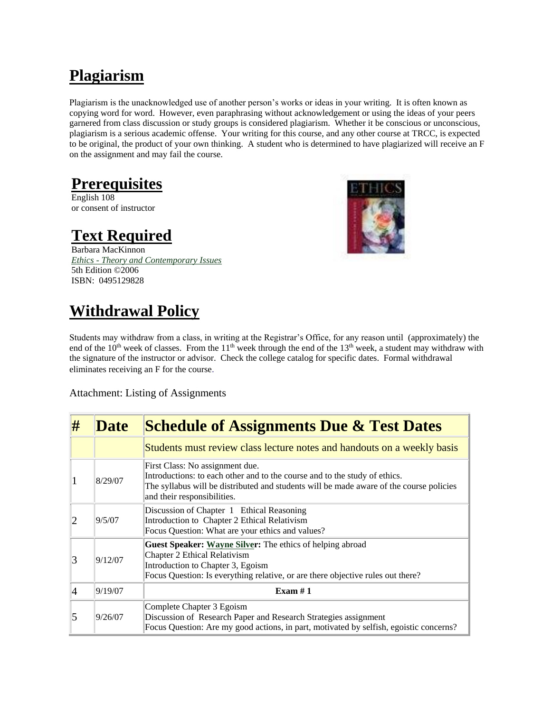## **Plagiarism**

Plagiarism is the unacknowledged use of another person's works or ideas in your writing. It is often known as copying word for word. However, even paraphrasing without acknowledgement or using the ideas of your peers garnered from class discussion or study groups is considered plagiarism. Whether it be conscious or unconscious, plagiarism is a serious academic offense. Your writing for this course, and any other course at TRCC, is expected to be original, the product of your own thinking. A student who is determined to have plagiarized will receive an F on the assignment and may fail the course.

## **Prerequisites**

English 108 or consent of instructor

## **Text Required**

Barbara MacKinnon *Ethics - [Theory and Contemporary Issues](http://www.thomsonedu.com/thomsonedu/instructor.do?totalresults.do?page=discipline&dispnum=5&keyfor=allsite&keyitem=all&keyword=null&keytype=searchall&resultfor=higheredu&resulttype=instructor&keyword_all=mackinnon&keyword_isbn=Enter%20ISBN&pagefrom=search)*  5th Edition ©2006 ISBN: 0495129828



## **Withdrawal Policy**

Students may withdraw from a class, in writing at the Registrar's Office, for any reason until (approximately) the end of the  $10<sup>th</sup>$  week of classes. From the  $11<sup>th</sup>$  week through the end of the  $13<sup>th</sup>$  week, a student may withdraw with the signature of the instructor or advisor. Check the college catalog for specific dates. Formal withdrawal eliminates receiving an F for the course.

Attachment: Listing of Assignments

| #              | <b>Date</b> | <b>Schedule of Assignments Due &amp; Test Dates</b>                                                                                                                                                                                     |
|----------------|-------------|-----------------------------------------------------------------------------------------------------------------------------------------------------------------------------------------------------------------------------------------|
|                |             | Students must review class lecture notes and handouts on a weekly basis                                                                                                                                                                 |
|                | 8/29/07     | First Class: No assignment due.<br>Introductions: to each other and to the course and to the study of ethics.<br>The syllabus will be distributed and students will be made aware of the course policies<br>and their responsibilities. |
|                | 9/5/07      | Discussion of Chapter 1 Ethical Reasoning<br>Introduction to Chapter 2 Ethical Relativism<br>Focus Question: What are your ethics and values?                                                                                           |
| 3              | 9/12/07     | <b>Guest Speaker: Wayne Silver:</b> The ethics of helping abroad<br>Chapter 2 Ethical Relativism<br>Introduction to Chapter 3, Egoism<br>Focus Question: Is everything relative, or are there objective rules out there?                |
| $\overline{4}$ | 9/19/07     | Exam $#1$                                                                                                                                                                                                                               |
| 5              | 9/26/07     | Complete Chapter 3 Egoism<br>Discussion of Research Paper and Research Strategies assignment<br>Focus Question: Are my good actions, in part, motivated by selfish, egoistic concerns?                                                  |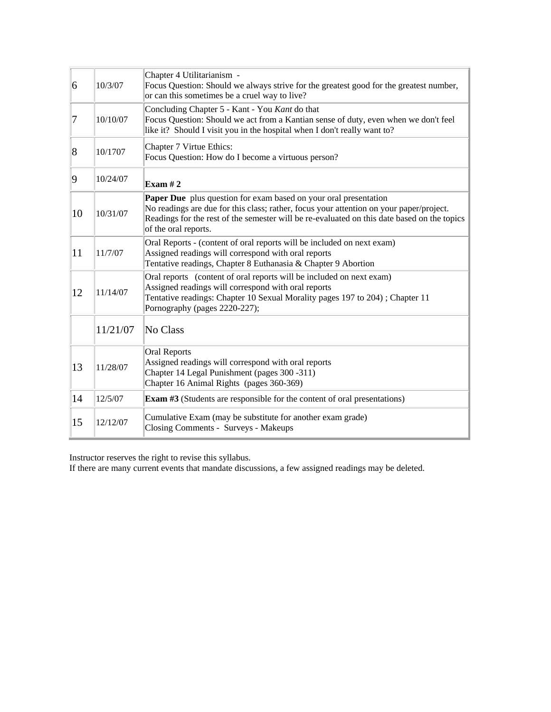| 6          | 10/3/07  | Chapter 4 Utilitarianism -<br>Focus Question: Should we always strive for the greatest good for the greatest number,<br>or can this sometimes be a cruel way to live?                                                                                                                     |
|------------|----------|-------------------------------------------------------------------------------------------------------------------------------------------------------------------------------------------------------------------------------------------------------------------------------------------|
| 17         | 10/10/07 | Concluding Chapter 5 - Kant - You Kant do that<br>Focus Question: Should we act from a Kantian sense of duty, even when we don't feel<br>like it? Should I visit you in the hospital when I don't really want to?                                                                         |
| $\sqrt{8}$ | 10/1707  | Chapter 7 Virtue Ethics:<br>Focus Question: How do I become a virtuous person?                                                                                                                                                                                                            |
| 9          | 10/24/07 | Exam $#2$                                                                                                                                                                                                                                                                                 |
| 10         | 10/31/07 | <b>Paper Due</b> plus question for exam based on your oral presentation<br>No readings are due for this class; rather, focus your attention on your paper/project.<br>Readings for the rest of the semester will be re-evaluated on this date based on the topics<br>of the oral reports. |
| 11         | 11/7/07  | Oral Reports - (content of oral reports will be included on next exam)<br>Assigned readings will correspond with oral reports<br>Tentative readings, Chapter 8 Euthanasia & Chapter 9 Abortion                                                                                            |
| 12         | 11/14/07 | Oral reports (content of oral reports will be included on next exam)<br>Assigned readings will correspond with oral reports<br>Tentative readings: Chapter 10 Sexual Morality pages 197 to 204); Chapter 11<br>Pornography (pages 2220-227);                                              |
|            | 11/21/07 | No Class                                                                                                                                                                                                                                                                                  |
| 13         | 11/28/07 | <b>Oral Reports</b><br>Assigned readings will correspond with oral reports<br>Chapter 14 Legal Punishment (pages 300 -311)<br>Chapter 16 Animal Rights (pages 360-369)                                                                                                                    |
| 14         | 12/5/07  | <b>Exam #3</b> (Students are responsible for the content of oral presentations)                                                                                                                                                                                                           |
| 15         | 12/12/07 | Cumulative Exam (may be substitute for another exam grade)<br>Closing Comments - Surveys - Makeups                                                                                                                                                                                        |

Instructor reserves the right to revise this syllabus.

If there are many current events that mandate discussions, a few assigned readings may be deleted.